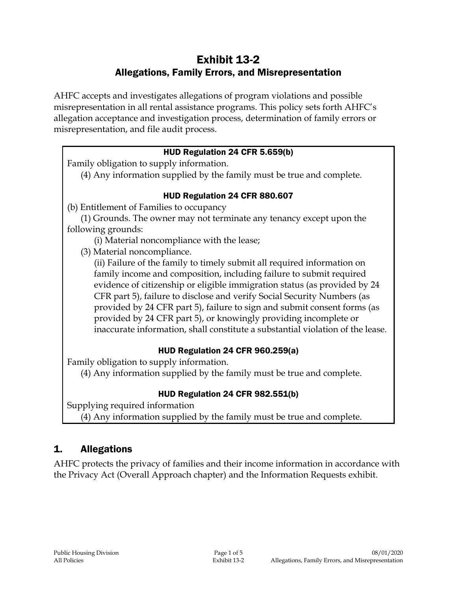# Exhibit 13-2 Allegations, Family Errors, and Misrepresentation

AHFC accepts and investigates allegations of program violations and possible misrepresentation in all rental assistance programs. This policy sets forth AHFC's allegation acceptance and investigation process, determination of family errors or misrepresentation, and file audit process.

### HUD Regulation 24 CFR 5.659(b)

Family obligation to supply information.

(4) Any information supplied by the family must be true and complete.

### HUD Regulation 24 CFR 880.607

(b) Entitlement of Families to occupancy

(1) Grounds. The owner may not terminate any tenancy except upon the following grounds:

(i) Material noncompliance with the lease;

(3) Material noncompliance.

(ii) Failure of the family to timely submit all required information on family income and composition, including failure to submit required evidence of citizenship or eligible immigration status (as provided by 24 CFR part 5), failure to disclose and verify Social Security Numbers (as provided by 24 CFR part 5), failure to sign and submit consent forms (as provided by 24 CFR part 5), or knowingly providing incomplete or inaccurate information, shall constitute a substantial violation of the lease.

## HUD Regulation 24 CFR 960.259(a)

Family obligation to supply information.

(4) Any information supplied by the family must be true and complete.

## HUD Regulation 24 CFR 982.551(b)

Supplying required information (4) Any information supplied by the family must be true and complete.

# 1. Allegations

AHFC protects the privacy of families and their income information in accordance with the Privacy Act (Overall Approach chapter) and the Information Requests exhibit.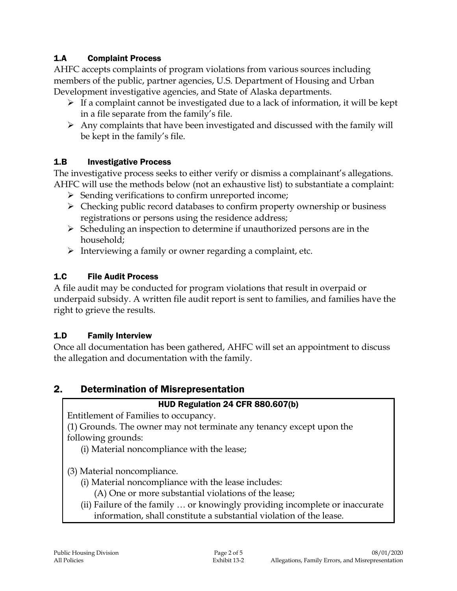### 1.A Complaint Process

AHFC accepts complaints of program violations from various sources including members of the public, partner agencies, U.S. Department of Housing and Urban Development investigative agencies, and State of Alaska departments.

- $\triangleright$  If a complaint cannot be investigated due to a lack of information, it will be kept in a file separate from the family's file.
- $\triangleright$  Any complaints that have been investigated and discussed with the family will be kept in the family's file.

#### 1.B Investigative Process

The investigative process seeks to either verify or dismiss a complainant's allegations. AHFC will use the methods below (not an exhaustive list) to substantiate a complaint:

- $\triangleright$  Sending verifications to confirm unreported income;
- $\triangleright$  Checking public record databases to confirm property ownership or business registrations or persons using the residence address;
- $\triangleright$  Scheduling an inspection to determine if unauthorized persons are in the household;
- $\triangleright$  Interviewing a family or owner regarding a complaint, etc.

### 1.C File Audit Process

A file audit may be conducted for program violations that result in overpaid or underpaid subsidy. A written file audit report is sent to families, and families have the right to grieve the results.

#### 1.D Family Interview

Once all documentation has been gathered, AHFC will set an appointment to discuss the allegation and documentation with the family.

# 2. Determination of Misrepresentation

#### HUD Regulation 24 CFR 880.607(b)

Entitlement of Families to occupancy.

(1) Grounds. The owner may not terminate any tenancy except upon the following grounds:

(i) Material noncompliance with the lease;

(3) Material noncompliance.

- (i) Material noncompliance with the lease includes:
	- (A) One or more substantial violations of the lease;
- (ii) Failure of the family … or knowingly providing incomplete or inaccurate information, shall constitute a substantial violation of the lease.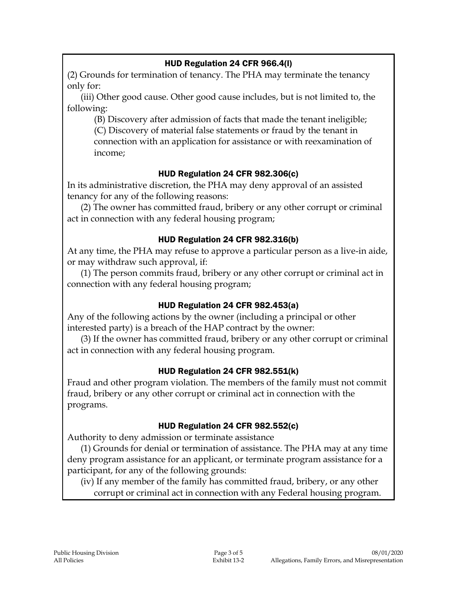#### HUD Regulation 24 CFR 966.4(l)

(2) Grounds for termination of tenancy. The PHA may terminate the tenancy only for:

(iii) Other good cause. Other good cause includes, but is not limited to, the following:

(B) Discovery after admission of facts that made the tenant ineligible; (C) Discovery of material false statements or fraud by the tenant in connection with an application for assistance or with reexamination of income;

### HUD Regulation 24 CFR 982.306(c)

In its administrative discretion, the PHA may deny approval of an assisted tenancy for any of the following reasons:

(2) The owner has committed fraud, bribery or any other corrupt or criminal act in connection with any federal housing program;

### HUD Regulation 24 CFR 982.316(b)

At any time, the PHA may refuse to approve a particular person as a live-in aide, or may withdraw such approval, if:

(1) The person commits fraud, bribery or any other corrupt or criminal act in connection with any federal housing program;

## HUD Regulation 24 CFR 982.453(a)

Any of the following actions by the owner (including a principal or other interested party) is a breach of the HAP contract by the owner:

(3) If the owner has committed fraud, bribery or any other corrupt or criminal act in connection with any federal housing program.

#### HUD Regulation 24 CFR 982.551(k)

Fraud and other program violation. The members of the family must not commit fraud, bribery or any other corrupt or criminal act in connection with the programs.

#### HUD Regulation 24 CFR 982.552(c)

Authority to deny admission or terminate assistance

(1) Grounds for denial or termination of assistance. The PHA may at any time deny program assistance for an applicant, or terminate program assistance for a participant, for any of the following grounds:

(iv) If any member of the family has committed fraud, bribery, or any other corrupt or criminal act in connection with any Federal housing program.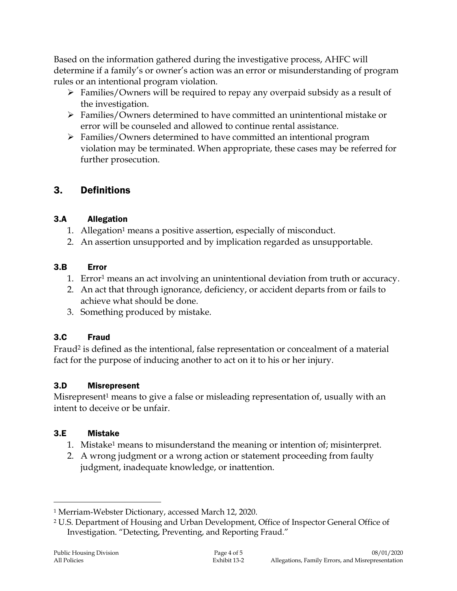Based on the information gathered during the investigative process, AHFC will determine if a family's or owner's action was an error or misunderstanding of program rules or an intentional program violation.

- $\triangleright$  Families/Owners will be required to repay any overpaid subsidy as a result of the investigation.
- Families/Owners determined to have committed an unintentional mistake or error will be counseled and allowed to continue rental assistance.
- $\triangleright$  Families/Owners determined to have committed an intentional program violation may be terminated. When appropriate, these cases may be referred for further prosecution.

# 3. Definitions

## 3.A Allegation

- 1. Allegation<sup>1</sup> means a positive assertion, especially of misconduct.
- 2. An assertion unsupported and by implication regarded as unsupportable.

## 3.B Error

- 1. Error<sup>1</sup> means an act involving an unintentional deviation from truth or accuracy.
- 2. An act that through ignorance, deficiency, or accident departs from or fails to achieve what should be done.
- 3. Something produced by mistake.

# 3.C Fraud

Fraud<sup>2</sup> is defined as the intentional, false representation or concealment of a material fact for the purpose of inducing another to act on it to his or her injury.

# 3.D Misrepresent

Misrepresent<sup>1</sup> means to give a false or misleading representation of, usually with an intent to deceive or be unfair.

# 3.E Mistake

- 1. Mistake<sup>1</sup> means to misunderstand the meaning or intention of; misinterpret.
- 2. A wrong judgment or a wrong action or statement proceeding from faulty judgment, inadequate knowledge, or inattention.

 $\overline{a}$ 

<sup>1</sup> Merriam-Webster Dictionary, accessed March 12, 2020.

<sup>2</sup> U.S. Department of Housing and Urban Development, Office of Inspector General Office of Investigation. "Detecting, Preventing, and Reporting Fraud."